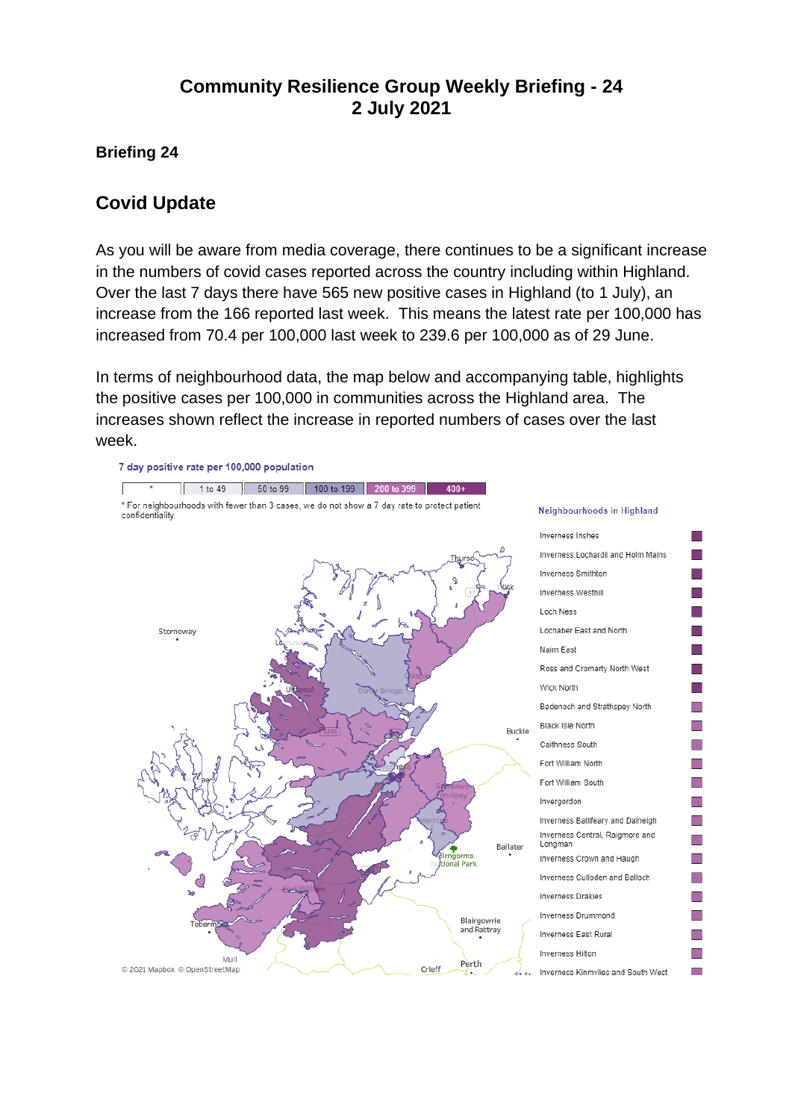## **Community Resilience Group Weekly Briefing - 24 2 July 2021**

#### **Briefing 24**

#### **Covid Update**

As you will be aware from media coverage, there continues to be a significant increase in the numbers of covid cases reported across the country including within Highland. Over the last 7 days there have 565 new positive cases in Highland (to 1 July), an increase from the 166 reported last week. This means the latest rate per 100,000 has increased from 70.4 per 100,000 last week to 239.6 per 100,000 as of 29 June.

In terms of neighbourhood data, the map below and accompanying table, highlights the positive cases per 100,000 in communities across the Highland area. The increases shown reflect the increase in reported numbers of cases over the last week.

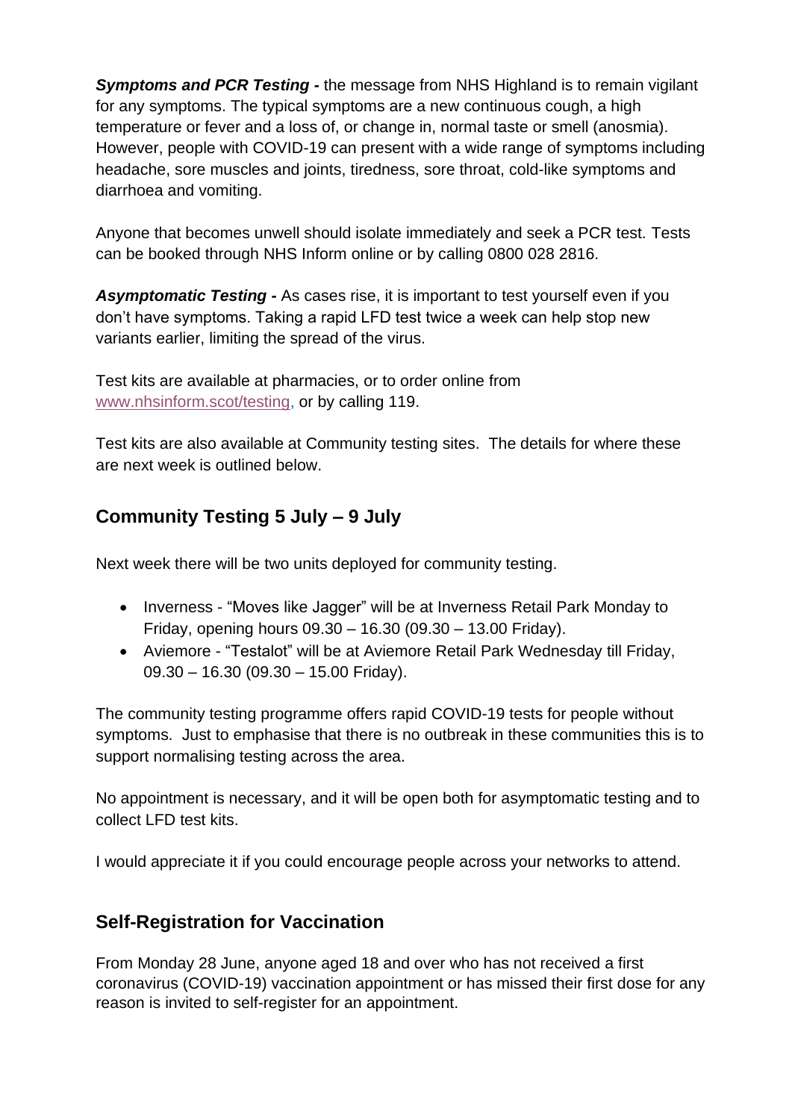*Symptoms and PCR Testing -* the message from NHS Highland is to remain vigilant for any symptoms. The typical symptoms are a new continuous cough, a high temperature or fever and a loss of, or change in, normal taste or smell (anosmia). However, people with COVID-19 can present with a wide range of symptoms including headache, sore muscles and joints, tiredness, sore throat, cold-like symptoms and diarrhoea and vomiting.

Anyone that becomes unwell should isolate immediately and seek a PCR test. Tests can be booked through NHS Inform online or by calling 0800 028 2816.

*Asymptomatic Testing -* As cases rise, it is important to test yourself even if you don't have symptoms. Taking a rapid LFD test twice a week can help stop new variants earlier, limiting the spread of the virus.

Test kits are available at pharmacies, or to order online from [www.nhsinform.scot/testing,](http://www.nhsinform.scot/testing) or by calling 119.

Test kits are also available at Community testing sites. The details for where these are next week is outlined below.

# **Community Testing 5 July – 9 July**

Next week there will be two units deployed for community testing.

- Inverness "Moves like Jagger" will be at Inverness Retail Park Monday to Friday, opening hours 09.30 – 16.30 (09.30 – 13.00 Friday).
- Aviemore "Testalot" will be at Aviemore Retail Park Wednesday till Friday, 09.30 – 16.30 (09.30 – 15.00 Friday).

The community testing programme offers rapid COVID-19 tests for people without symptoms. Just to emphasise that there is no outbreak in these communities this is to support normalising testing across the area.

No appointment is necessary, and it will be open both for asymptomatic testing and to collect LFD test kits.

I would appreciate it if you could encourage people across your networks to attend.

## **Self-Registration for Vaccination**

From Monday 28 June, anyone aged 18 and over who has not received a first coronavirus (COVID-19) vaccination appointment or has missed their first dose for any reason is invited to self-register for an appointment.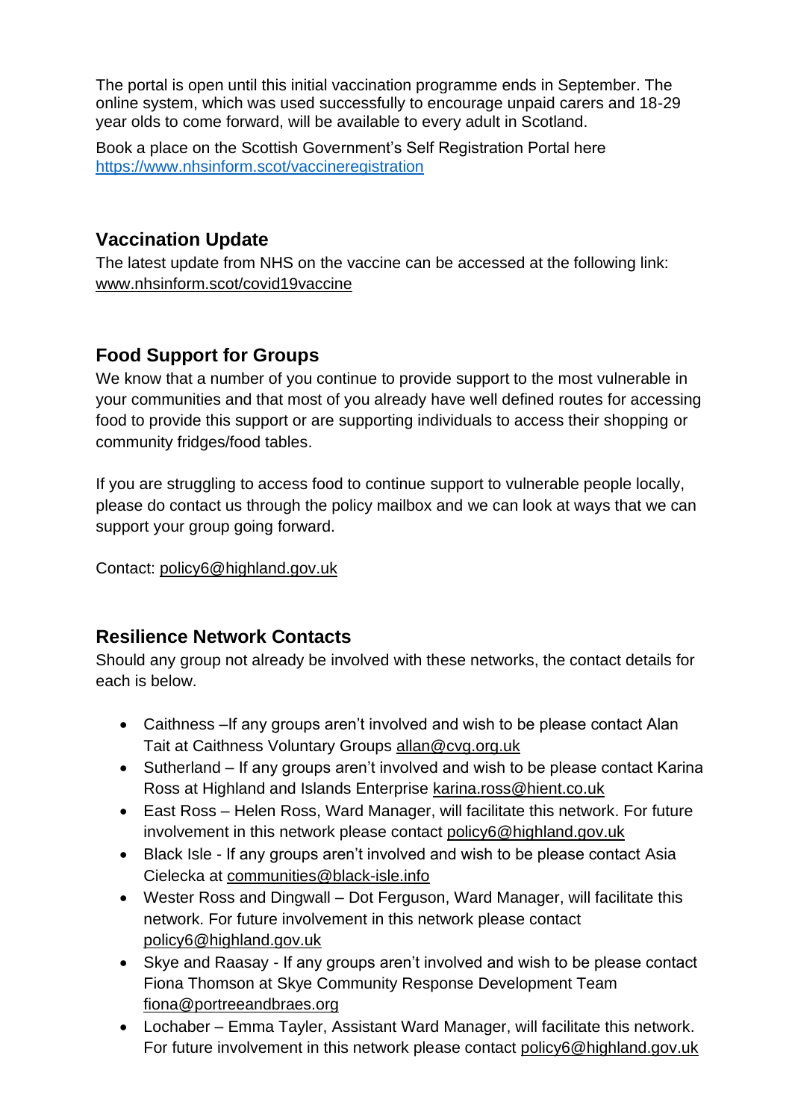The portal is open until this initial vaccination programme ends in September. The online system, which was used successfully to encourage unpaid carers and 18-29 year olds to come forward, will be available to every adult in Scotland.

Book a place on the Scottish Government's Self Registration Portal here <https://www.nhsinform.scot/vaccineregistration>

### **Vaccination Update**

The latest update from NHS on the vaccine can be accessed at the following link: [www.nhsinform.scot/covid19vaccine](http://www.nhsinform.scot/covid19vaccine)

## **Food Support for Groups**

We know that a number of you continue to provide support to the most vulnerable in your communities and that most of you already have well defined routes for accessing food to provide this support or are supporting individuals to access their shopping or community fridges/food tables.

If you are struggling to access food to continue support to vulnerable people locally, please do contact us through the policy mailbox and we can look at ways that we can support your group going forward.

Contact: [policy6@highland.gov.uk](mailto:policy6@highland.gov.uk)

#### **Resilience Network Contacts**

Should any group not already be involved with these networks, the contact details for each is below.

- Caithness –If any groups aren't involved and wish to be please contact Alan Tait at Caithness Voluntary Groups [allan@cvg.org.uk](mailto:allan@cvg.org.uk)
- Sutherland If any groups aren't involved and wish to be please contact Karina Ross at Highland and Islands Enterprise [karina.ross@hient.co.uk](mailto:karina.ross@hient.co.uk)
- East Ross Helen Ross, Ward Manager, will facilitate this network. For future involvement in this network please contact [policy6@highland.gov.uk](mailto:policy6@highland.gov.uk)
- Black Isle If any groups aren't involved and wish to be please contact Asia Cielecka at [communities@black-isle.info](mailto:communities@black-isle.info)
- Wester Ross and Dingwall Dot Ferguson, Ward Manager, will facilitate this network. For future involvement in this network please contact [policy6@highland.gov.uk](mailto:policy6@highland.gov.uk)
- Skye and Raasay If any groups aren't involved and wish to be please contact Fiona Thomson at Skye Community Response Development Team [fiona@portreeandbraes.org](mailto:fiona@portreeandbraes.org)
- Lochaber Emma Tayler, Assistant Ward Manager, will facilitate this network. For future involvement in this network please contact [policy6@highland.gov.uk](mailto:policy6@highland.gov.uk)